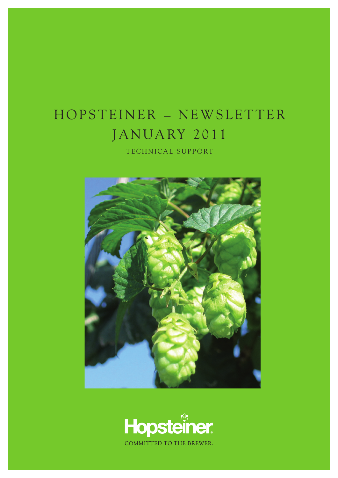## HOPSTEINER - NEWSLETTER JANUARY 2011

TECHNICAL SUPPORT